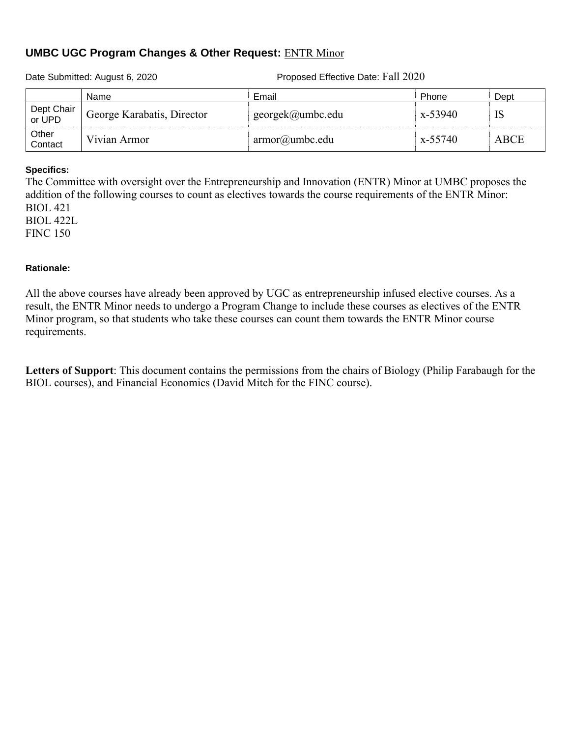## **UMBC UGC Program Changes & Other Request:** ENTR Minor

Date Submitted: August 6, 2020 Proposed Effective Date: Fall 2020

|                      | Name                       | Email             | Phone   | Dept        |
|----------------------|----------------------------|-------------------|---------|-------------|
| Dept Chair<br>or UPD | George Karabatis, Director | georgek@umbc.edu  | x-53940 | IS          |
| Other<br>Contact     | Vivian Armor               | $armor@$ umbc.edu | x-55740 | <b>ABCE</b> |

### **Specifics:**

The Committee with oversight over the Entrepreneurship and Innovation (ENTR) Minor at UMBC proposes the addition of the following courses to count as electives towards the course requirements of the ENTR Minor: BIOL 421

BIOL 422L FINC 150

## **Rationale:**

All the above courses have already been approved by UGC as entrepreneurship infused elective courses. As a result, the ENTR Minor needs to undergo a Program Change to include these courses as electives of the ENTR Minor program, so that students who take these courses can count them towards the ENTR Minor course requirements.

**Letters of Support**: This document contains the permissions from the chairs of Biology (Philip Farabaugh for the BIOL courses), and Financial Economics (David Mitch for the FINC course).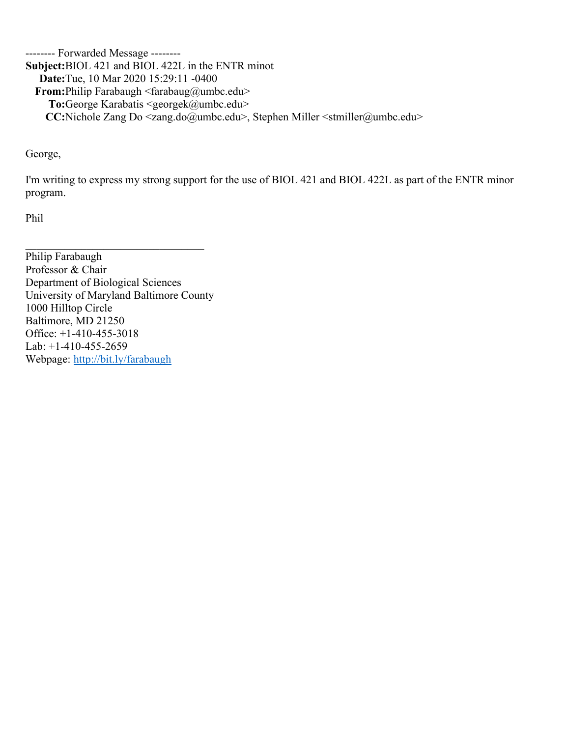-------- Forwarded Message -------- **Subject:** BIOL 421 and BIOL 422L in the ENTR minot **Date:** Tue, 10 Mar 2020 15:29:11 -0400 **From:** Philip Farabaugh <farabaug@umbc.edu> To: George Karabatis <georgek@umbc.edu> **CC:** Nichole Zang Do <zang.do@umbc.edu>, Stephen Miller <stmiller@umbc.edu>

George,

I'm writing to express my strong support for the use of BIOL 421 and BIOL 422L as part of the ENTR minor program.

Phil

Philip Farabaugh Professor & Chair Department of Biological Sciences University of Maryland Baltimore County 1000 Hilltop Circle Baltimore, MD 21250 Office: +1-410-455-3018 Lab: +1-410-455-2659 Webpage: [http://bit.ly/farabaugh](http://bit.ly/farabaugh2)